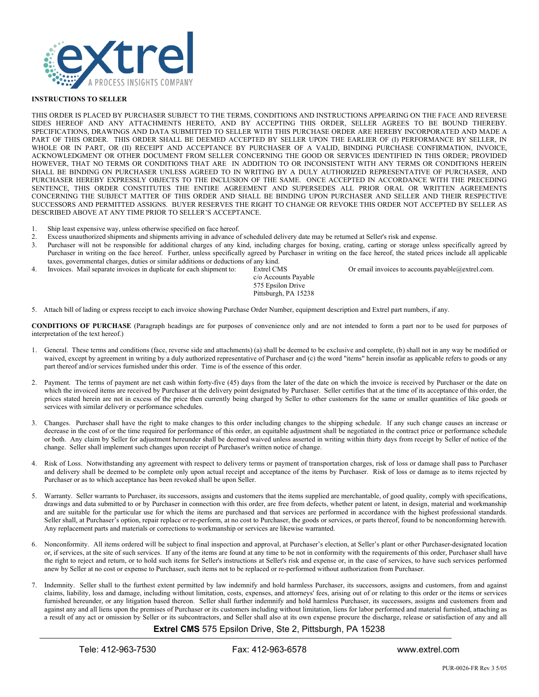

## **INSTRUCTIONS TO SELLER**

THIS ORDER IS PLACED BY PURCHASER SUBJECT TO THE TERMS, CONDITIONS AND INSTRUCTIONS APPEARING ON THE FACE AND REVERSE SIDES HEREOF AND ANY ATTACHMENTS HERETO, AND BY ACCEPTING THIS ORDER, SELLER AGREES TO BE BOUND THEREBY. SPECIFICATIONS, DRAWINGS AND DATA SUBMITTED TO SELLER WITH THIS PURCHASE ORDER ARE HEREBY INCORPORATED AND MADE A PART OF THIS ORDER. THIS ORDER SHALL BE DEEMED ACCEPTED BY SELLER UPON THE EARLIER OF (I) PERFORMANCE BY SELLER, IN WHOLE OR IN PART, OR (II) RECEIPT AND ACCEPTANCE BY PURCHASER OF A VALID, BINDING PURCHASE CONFIRMATION, INVOICE, ACKNOWLEDGMENT OR OTHER DOCUMENT FROM SELLER CONCERNING THE GOOD OR SERVICES IDENTIFIED IN THIS ORDER; PROVIDED HOWEVER, THAT NO TERMS OR CONDITIONS THAT ARE IN ADDITION TO OR INCONSISTENT WITH ANY TERMS OR CONDITIONS HEREIN SHALL BE BINDING ON PURCHASER UNLESS AGREED TO IN WRITING BY A DULY AUTHORIZED REPRESENTATIVE OF PURCHASER, AND PURCHASER HEREBY EXPRESSLY OBJECTS TO THE INCLUSION OF THE SAME. ONCE ACCEPTED IN ACCORDANCE WITH THE PRECEDING SENTENCE, THIS ORDER CONSTITUTES THE ENTIRE AGREEMENT AND SUPERSEDES ALL PRIOR ORAL OR WRITTEN AGREEMENTS CONCERNING THE SUBJECT MATTER OF THIS ORDER AND SHALL BE BINDING UPON PURCHASER AND SELLER AND THEIR RESPECTIVE SUCCESSORS AND PERMITTED ASSIGNS. BUYER RESERVES THE RIGHT TO CHANGE OR REVOKE THIS ORDER NOT ACCEPTED BY SELLER AS DESCRIBED ABOVE AT ANY TIME PRIOR TO SELLER'S ACCEPTANCE.

- 1. Ship least expensive way, unless otherwise specified on face hereof.<br>2. Excess unauthorized shipments and shipments arriving in advance of
- 2. Excess unauthorized shipments and shipments arriving in advance of scheduled delivery date may be returned at Seller's risk and expense.
- 3. Purchaser will not be responsible for additional charges of any kind, including charges for boxing, crating, carting or storage unless specifically agreed by Purchaser in writing on the face hereof. Further, unless specifically agreed by Purchaser in writing on the face hereof, the stated prices include all applicable taxes, governmental charges, duties or similar additions or deductions of any kind.
- 4. Invoices. Mail separate invoices in duplicate for each shipment to: Extrel CMS Or email invoices to accounts.payable@extrel.com.

c/o Accounts Payable 575 Epsilon Drive Pittsburgh, PA 15238

5. Attach bill of lading or express receipt to each invoice showing Purchase Order Number, equipment description and Extrel part numbers, if any.

**CONDITIONS OF PURCHASE** (Paragraph headings are for purposes of convenience only and are not intended to form a part nor to be used for purposes of interpretation of the text hereof.)

- 1. General. These terms and conditions (face, reverse side and attachments) (a) shall be deemed to be exclusive and complete, (b) shall not in any way be modified or waived, except by agreement in writing by a duly authorized representative of Purchaser and (c) the word "items" herein insofar as applicable refers to goods or any part thereof and/or services furnished under this order. Time is of the essence of this order.
- 2. Payment. The terms of payment are net cash within forty-five (45) days from the later of the date on which the invoice is received by Purchaser or the date on which the invoiced items are received by Purchaser at the delivery point designated by Purchaser. Seller certifies that at the time of its acceptance of this order, the prices stated herein are not in excess of the price then currently being charged by Seller to other customers for the same or smaller quantities of like goods or services with similar delivery or performance schedules.
- 3. Changes. Purchaser shall have the right to make changes to this order including changes to the shipping schedule. If any such change causes an increase or decrease in the cost of or the time required for performance of this order, an equitable adjustment shall be negotiated in the contract price or performance schedule or both. Any claim by Seller for adjustment hereunder shall be deemed waived unless asserted in writing within thirty days from receipt by Seller of notice of the change. Seller shall implement such changes upon receipt of Purchaser's written notice of change.
- 4. Risk of Loss. Notwithstanding any agreement with respect to delivery terms or payment of transportation charges, risk of loss or damage shall pass to Purchaser and delivery shall be deemed to be complete only upon actual receipt and acceptance of the items by Purchaser. Risk of loss or damage as to items rejected by Purchaser or as to which acceptance has been revoked shall be upon Seller.
- 5. Warranty. Seller warrants to Purchaser, its successors, assigns and customers that the items supplied are merchantable, of good quality, comply with specifications, drawings and data submitted to or by Purchaser in connection with this order, are free from defects, whether patent or latent, in design, material and workmanship and are suitable for the particular use for which the items are purchased and that services are performed in accordance with the highest professional standards. Seller shall, at Purchaser's option, repair replace or re-perform, at no cost to Purchaser, the goods or services, or parts thereof, found to be nonconforming herewith. Any replacement parts and materials or corrections to workmanship or services are likewise warranted.
- 6. Nonconformity. All items ordered will be subject to final inspection and approval, at Purchaser's election, at Seller's plant or other Purchaser-designated location or, if services, at the site of such services. If any of the items are found at any time to be not in conformity with the requirements of this order, Purchaser shall have the right to reject and return, or to hold such items for Seller's instructions at Seller's risk and expense or, in the case of services, to have such services performed anew by Seller at no cost or expense to Purchaser, such items not to be replaced or re-performed without authorization from Purchaser.
- 7. Indemnity. Seller shall to the furthest extent permitted by law indemnify and hold harmless Purchaser, its successors, assigns and customers, from and against claims, liability, loss and damage, including without limitation, costs, expenses, and attorneys' fees, arising out of or relating to this order or the items or services furnished hereunder, or any litigation based thereon. Seller shall further indemnify and hold harmless Purchaser, its successors, assigns and customers from and against any and all liens upon the premises of Purchaser or its customers including without limitation, liens for labor performed and material furnished, attaching as a result of any act or omission by Seller or its subcontractors, and Seller shall also at its own expense procure the discharge, release or satisfaction of any and all

## **Extrel CMS** 575 Epsilon Drive, Ste 2, Pittsburgh, PA 15238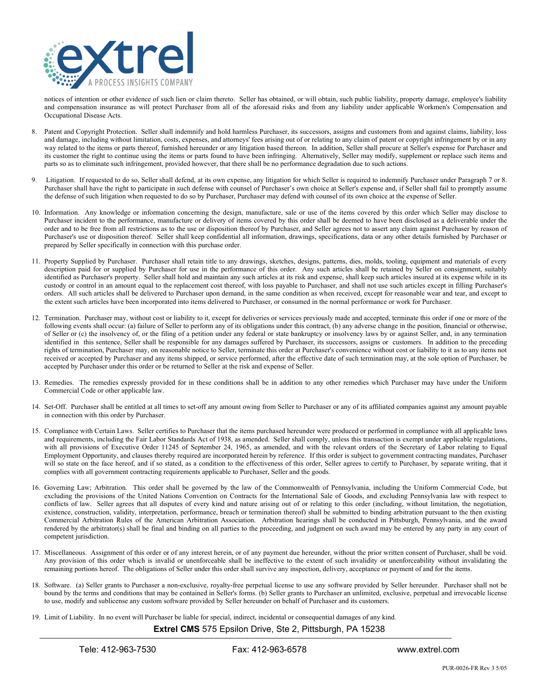

notices of intention or other evidence of such lien or claim thereto. Seller has obtained, or will obtain, such public liability, property damage, employee's liability and compensation insurance as will protect Purchaser from all of the aforesaid risks and from any liability under applicable Workmen's Compensation and Occupational Disease Acts.

- 8. Patent and Copyright Protection. Seller shall indemnify and hold harmless Purchaser, its successors, assigns and customers from and against claims, liability, loss and damage, including without limitation, costs, expenses, and attorneys' fees arising out of or relating to any claim of patent or copyright infringement by or in any way related to the items or parts thereof, furnished hereunder or any litigation based thereon. In addition, Seller shall procure at Seller's expense for Purchaser and its customer the right to continue using the items or parts found to have been infringing. Alternatively, Seller may modify, supplement or replace such items and parts so as to eliminate such infringement, provided however, that there shall be no performance degradation due to such actions.
- Litigation. If requested to do so, Seller shall defend, at its own expense, any litigation for which Seller is required to indemnify Purchaser under Paragraph 7 or 8. Purchaser shall have the right to participate in such defense with counsel of Purchaser's own choice at Seller's expense and, if Seller shall fail to promptly assume the defense of such litigation when requested to do so by Purchaser, Purchaser may defend with counsel of its own choice at the expense of Seller.
- 10. Information. Any knowledge or information concerning the design, manufacture, sale or use of the items covered by this order which Seller may disclose to Purchaser incident to the performance, manufacture or delivery of items covered by this order shall be deemed to have been disclosed as a deliverable under the order and to be free from all restrictions as to the use or disposition thereof by Purchaser, and Seller agrees not to assert any claim against Purchaser by reason of Purchaser's use or disposition thereof. Seller shall keep confidential all information, drawings, specifications, data or any other details furnished by Purchaser or prepared by Seller specifically in connection with this purchase order.
- 11. Property Supplied by Purchaser. Purchaser shall retain title to any drawings, sketches, designs, patterns, dies, molds, tooling, equipment and materials of every description paid for or supplied by Purchaser for use in the performance of this order. Any such articles shall be retained by Seller on consignment, suitably identified as Purchaser's property. Seller shall hold and maintain any such articles at its risk and expense, shall keep such articles insured at its expense while in its custody or control in an amount equal to the replacement cost thereof, with loss payable to Purchaser, and shall not use such articles except in filling Purchaser's orders. All such articles shall be delivered to Purchaser upon demand, in the same condition as when received, except for reasonable wear and tear, and except to the extent such articles have been incorporated into items delivered to Purchaser, or consumed in the normal performance or work for Purchaser.
- 12. Termination. Purchaser may, without cost or liability to it, except for deliveries or services previously made and accepted, terminate this order if one or more of the following events shall occur: (a) failure of Seller to perform any of its obligations under this contract, (b) any adverse change in the position, financial or otherwise, of Seller or (c) the insolvency of, or the filing of a petition under any federal or state bankruptcy or insolvency laws by or against Seller, and, in any termination identified in this sentence, Seller shall be responsible for any damages suffered by Purchaser, its successors, assigns or customers. In addition to the preceding rights of termination, Purchaser may, on reasonable notice to Seller, terminate this order at Purchaser's convenience without cost or liability to it as to any items not received or accepted by Purchaser and any items shipped, or service performed, after the effective date of such termination may, at the sole option of Purchaser, be accepted by Purchaser under this order or be returned to Seller at the risk and expense of Seller.
- 13. Remedies. The remedies expressly provided for in these conditions shall be in addition to any other remedies which Purchaser may have under the Uniform Commercial Code or other applicable law.
- 14. Set-Off. Purchaser shall be entitled at all times to set-off any amount owing from Seller to Purchaser or any of its affiliated companies against any amount payable in connection with this order by Purchaser.
- 15. Compliance with Certain Laws. Seller certifies to Purchaser that the items purchased hereunder were produced or performed in compliance with all applicable laws and requirements, including the Fair Labor Standards Act of 1938, as amended. Seller shall comply, unless this transaction is exempt under applicable regulations, with all provisions of Executive Order 11245 of September 24, 1965, as amended, and with the relevant orders of the Secretary of Labor relating to Equal Employment Opportunity, and clauses thereby required are incorporated herein by reference. If this order is subject to government contracting mandates, Purchaser will so state on the face hereof, and if so stated, as a condition to the effectiveness of this order, Seller agrees to certify to Purchaser, by separate writing, that it complies with all government contracting requirements applicable to Purchaser, Seller and the goods.
- 16. Governing Law; Arbitration. This order shall be governed by the law of the Commonwealth of Pennsylvania, including the Uniform Commercial Code, but excluding the provisions of the United Nations Convention on Contracts for the International Sale of Goods, and excluding Pennsylvania law with respect to conflicts of law. Seller agrees that all disputes of every kind and nature arising out of or relating to this order (including, without limitation, the negotiation, existence, construction, validity, interpretation, performance, breach or termination thereof) shall be submitted to binding arbitration pursuant to the then existing Commercial Arbitration Rules of the American Arbitration Association. Arbitration hearings shall be conducted in Pittsburgh, Pennsylvania, and the award rendered by the arbitrator(s) shall be final and binding on all parties to the proceeding, and judgment on such award may be entered by any party in any court of competent jurisdiction.
- 17. Miscellaneous. Assignment of this order or of any interest herein, or of any payment due hereunder, without the prior written consent of Purchaser, shall be void. Any provision of this order which is invalid or unenforceable shall be ineffective to the extent of such invalidity or unenforceability without invalidating the remaining portions hereof. The obligations of Seller under this order shall survive any inspection, delivery, acceptance or payment of and for the items.
- 18. Software. (a) Seller grants to Purchaser a non-exclusive, royalty-free perpetual license to use any software provided by Seller hereunder. Purchaser shall not be bound by the terms and conditions that may be contained in Seller's forms. (b) Seller grants to Purchaser an unlimited, exclusive, perpetual and irrevocable license to use, modify and sublicense any custom software provided by Seller hereunder on behalf of Purchaser and its customers.

19. Limit of Liability. In no event will Purchaser be liable for special, indirect, incidental or consequential damages of any kind.

## **Extrel CMS** 575 Epsilon Drive, Ste 2, Pittsburgh, PA 15238